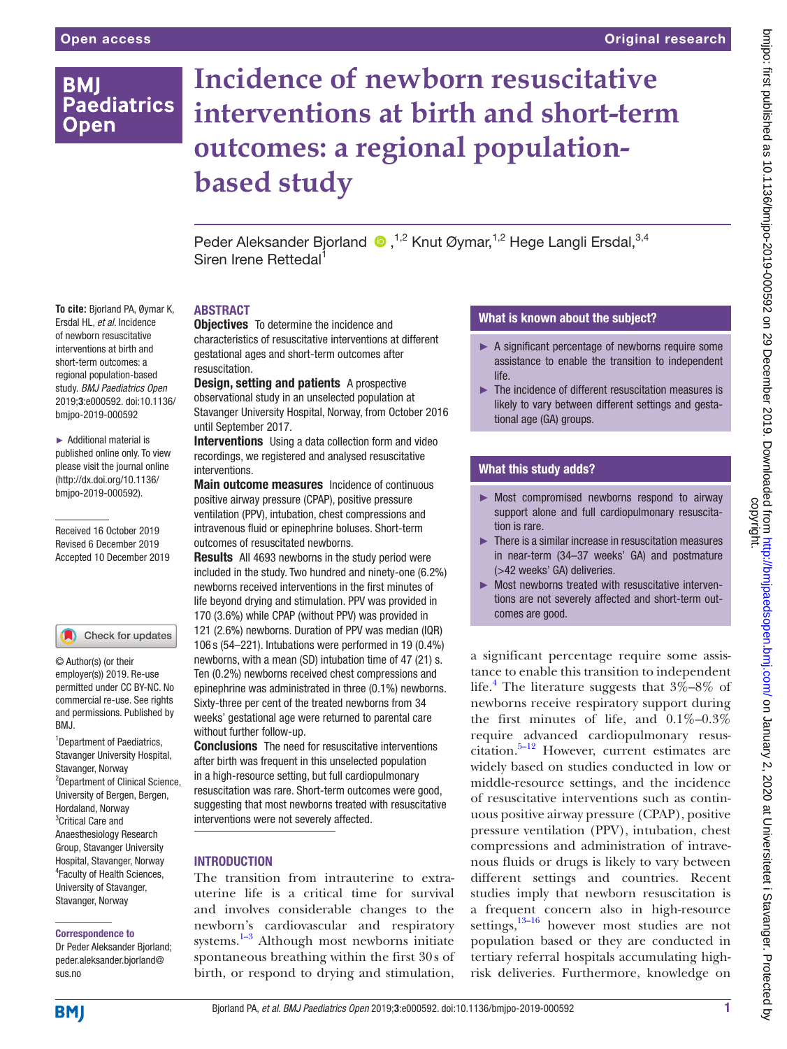## **BMI Paediatrics Open**

# **Incidence of newborn resuscitative interventions at birth and short-term outcomes: a regional populationbased study**

Peder Aleksander Bjorland  $\bullet$ ,<sup>1,2</sup> Knut Øymar,<sup>1,2</sup> Hege Langli Ersdal,<sup>3,4</sup> Siren Irene Rettedal

**To cite:** Bjorland PA, Øymar K, Ersdal HL, *et al*. Incidence of newborn resuscitative interventions at birth and short-term outcomes: a regional population-based study. *BMJ Paediatrics Open* 2019;3:e000592. doi:10.1136/ bmjpo-2019-000592

► Additional material is published online only. To view please visit the journal online (http://dx.doi.org/10.1136/ bmjpo-2019-000592).

Received 16 October 2019 Revised 6 December 2019 Accepted 10 December 2019

#### Check for updates

© Author(s) (or their employer(s)) 2019. Re-use permitted under CC BY-NC. No commercial re-use. See rights and permissions. Published by BMJ.

1 Department of Paediatrics, Stavanger University Hospital, Stavanger, Norway 2 Department of Clinical Science, University of Bergen, Bergen, Hordaland, Norway 3 Critical Care and Anaesthesiology Research Group, Stavanger University Hospital, Stavanger, Norway 4 Faculty of Health Sciences, University of Stavanger, Stavanger, Norway

#### Correspondence to

Dr Peder Aleksander Bjorland; peder.aleksander.bjorland@ sus.no

## ABSTRACT

**Objectives** To determine the incidence and characteristics of resuscitative interventions at different gestational ages and short-term outcomes after resuscitation.

Design, setting and patients A prospective observational study in an unselected population at Stavanger University Hospital, Norway, from October 2016 until September 2017.

Interventions Using a data collection form and video recordings, we registered and analysed resuscitative interventions.

Main outcome measures Incidence of continuous positive airway pressure (CPAP), positive pressure ventilation (PPV), intubation, chest compressions and intravenous fluid or epinephrine boluses. Short-term outcomes of resuscitated newborns.

Results All 4693 newborns in the study period were included in the study. Two hundred and ninety-one (6.2%) newborns received interventions in the first minutes of life beyond drying and stimulation. PPV was provided in 170 (3.6%) while CPAP (without PPV) was provided in 121 (2.6%) newborns. Duration of PPV was median (IQR) 106 s (54–221). Intubations were performed in 19 (0.4%) newborns, with a mean (SD) intubation time of 47 (21) s. Ten (0.2%) newborns received chest compressions and epinephrine was administrated in three (0.1%) newborns. Sixty-three per cent of the treated newborns from 34 weeks' gestational age were returned to parental care without further follow-up.

Conclusions The need for resuscitative interventions after birth was frequent in this unselected population in a high-resource setting, but full cardiopulmonary resuscitation was rare. Short-term outcomes were good, suggesting that most newborns treated with resuscitative interventions were not severely affected.

## **INTRODUCTION**

The transition from intrauterine to extrauterine life is a critical time for survival and involves considerable changes to the newborn's cardiovascular and respiratory systems. $1-3$  Although most newborns initiate spontaneous breathing within the first 30s of birth, or respond to drying and stimulation,

## What is known about the subject?

- ► A significant percentage of newborns require some assistance to enable the transition to independent life.
- ► The incidence of different resuscitation measures is likely to vary between different settings and gestational age (GA) groups.

## What this study adds?

- ► Most compromised newborns respond to airway support alone and full cardiopulmonary resuscitation is rare.
- $\blacktriangleright$  There is a similar increase in resuscitation measures in near-term (34–37 weeks' GA) and postmature (>42 weeks' GA) deliveries.
- ► Most newborns treated with resuscitative interventions are not severely affected and short-term outcomes are good.

a significant percentage require some assistance to enable this transition to independent life.<sup>[4](#page-7-1)</sup> The literature suggests that  $3\% - 8\%$  of newborns receive respiratory support during the first minutes of life, and  $0.1\%$ – $0.3\%$ require advanced cardiopulmonary resuscitation.[5–12](#page-7-2) However, current estimates are widely based on studies conducted in low or middle-resource settings, and the incidence of resuscitative interventions such as continuous positive airway pressure (CPAP), positive pressure ventilation (PPV), intubation, chest compressions and administration of intravenous fluids or drugs is likely to vary between different settings and countries. Recent studies imply that newborn resuscitation is a frequent concern also in high-resource settings,<sup>13–16</sup> however most studies are not population based or they are conducted in tertiary referral hospitals accumulating highrisk deliveries. Furthermore, knowledge on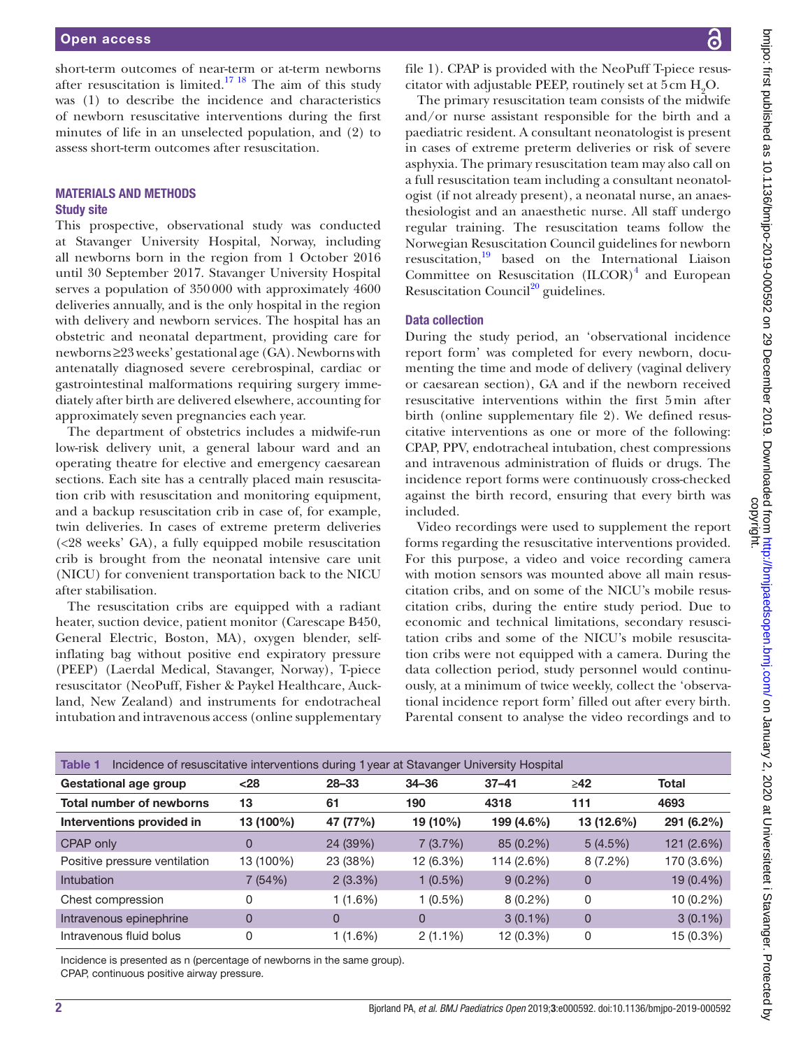short-term outcomes of near-term or at-term newborns after resuscitation is limited.[17 18](#page-7-4) The aim of this study was (1) to describe the incidence and characteristics of newborn resuscitative interventions during the first minutes of life in an unselected population, and (2) to assess short-term outcomes after resuscitation.

## Materials and methods Study site

This prospective, observational study was conducted at Stavanger University Hospital, Norway, including all newborns born in the region from 1 October 2016 until 30 September 2017. Stavanger University Hospital serves a population of 350000 with approximately 4600 deliveries annually, and is the only hospital in the region with delivery and newborn services. The hospital has an obstetric and neonatal department, providing care for newborns ≥23 weeks' gestational age (GA). Newborns with antenatally diagnosed severe cerebrospinal, cardiac or gastrointestinal malformations requiring surgery immediately after birth are delivered elsewhere, accounting for approximately seven pregnancies each year.

The department of obstetrics includes a midwife-run low-risk delivery unit, a general labour ward and an operating theatre for elective and emergency caesarean sections. Each site has a centrally placed main resuscitation crib with resuscitation and monitoring equipment, and a backup resuscitation crib in case of, for example, twin deliveries. In cases of extreme preterm deliveries (<28 weeks' GA), a fully equipped mobile resuscitation crib is brought from the neonatal intensive care unit (NICU) for convenient transportation back to the NICU after stabilisation.

The resuscitation cribs are equipped with a radiant heater, suction device, patient monitor (Carescape B450, General Electric, Boston, MA), oxygen blender, selfinflating bag without positive end expiratory pressure (PEEP) (Laerdal Medical, Stavanger, Norway), T-piece resuscitator (NeoPuff, Fisher & Paykel Healthcare, Auckland, New Zealand) and instruments for endotracheal intubation and intravenous access ([online supplementary](https://dx.doi.org/10.1136/bmjpo-2019-000592) [file 1\)](https://dx.doi.org/10.1136/bmjpo-2019-000592). CPAP is provided with the NeoPuff T-piece resuscitator with adjustable PEEP, routinely set at  $5 \text{ cm H}_2\text{O}$ .

The primary resuscitation team consists of the midwife and/or nurse assistant responsible for the birth and a paediatric resident. A consultant neonatologist is present in cases of extreme preterm deliveries or risk of severe asphyxia. The primary resuscitation team may also call on a full resuscitation team including a consultant neonatologist (if not already present), a neonatal nurse, an anaesthesiologist and an anaesthetic nurse. All staff undergo regular training. The resuscitation teams follow the Norwegian Resuscitation Council guidelines for newborn resuscitation,[19](#page-7-5) based on the International Liaison Committee on Resuscitation  $(ILCOR)^4$  and European Resuscitation Council<sup>20</sup> guidelines.

## Data collection

During the study period, an 'observational incidence report form' was completed for every newborn, documenting the time and mode of delivery (vaginal delivery or caesarean section), GA and if the newborn received resuscitative interventions within the first 5min after birth [\(online supplementary file 2](https://dx.doi.org/10.1136/bmjpo-2019-000592)). We defined resuscitative interventions as one or more of the following: CPAP, PPV, endotracheal intubation, chest compressions and intravenous administration of fluids or drugs. The incidence report forms were continuously cross-checked against the birth record, ensuring that every birth was included.

Video recordings were used to supplement the report forms regarding the resuscitative interventions provided. For this purpose, a video and voice recording camera with motion sensors was mounted above all main resuscitation cribs, and on some of the NICU's mobile resuscitation cribs, during the entire study period. Due to economic and technical limitations, secondary resuscitation cribs and some of the NICU's mobile resuscitation cribs were not equipped with a camera. During the data collection period, study personnel would continuously, at a minimum of twice weekly, collect the 'observational incidence report form' filled out after every birth. Parental consent to analyse the video recordings and to

<span id="page-1-0"></span>

| Incidence of resuscitative interventions during 1 year at Stavanger University Hospital<br><b>Table 1</b> |           |            |            |            |            |            |
|-----------------------------------------------------------------------------------------------------------|-----------|------------|------------|------------|------------|------------|
| <b>Gestational age group</b>                                                                              | $28$      | $28 - 33$  | $34 - 36$  | $37 - 41$  | $\geq 42$  | Total      |
| <b>Total number of newborns</b>                                                                           | 13        | 61         | 190        | 4318       | 111        | 4693       |
| Interventions provided in                                                                                 | 13 (100%) | 47 (77%)   | 19 (10%)   | 199 (4.6%) | 13 (12.6%) | 291 (6.2%) |
| CPAP only                                                                                                 | 0         | 24 (39%)   | 7(3.7%)    | 85 (0.2%)  | 5(4.5%)    | 121 (2.6%) |
| Positive pressure ventilation                                                                             | 13 (100%) | 23 (38%)   | 12 (6.3%)  | 114 (2.6%) | 8(7.2%)    | 170 (3.6%) |
| Intubation                                                                                                | 7(54%)    | $2(3.3\%)$ | $1(0.5\%)$ | $9(0.2\%)$ | 0          | 19 (0.4%)  |
| Chest compression                                                                                         | 0         | $1(1.6\%)$ | $1(0.5\%)$ | $8(0.2\%)$ | 0          | 10 (0.2%)  |
| Intravenous epinephrine                                                                                   | 0         | 0          | $\Omega$   | $3(0.1\%)$ | $\Omega$   | $3(0.1\%)$ |
| Intravenous fluid bolus                                                                                   | 0         | $1(1.6\%)$ | $2(1.1\%)$ | 12 (0.3%)  | 0          | 15 (0.3%)  |

Incidence is presented as n (percentage of newborns in the same group).

CPAP, continuous positive airway pressure.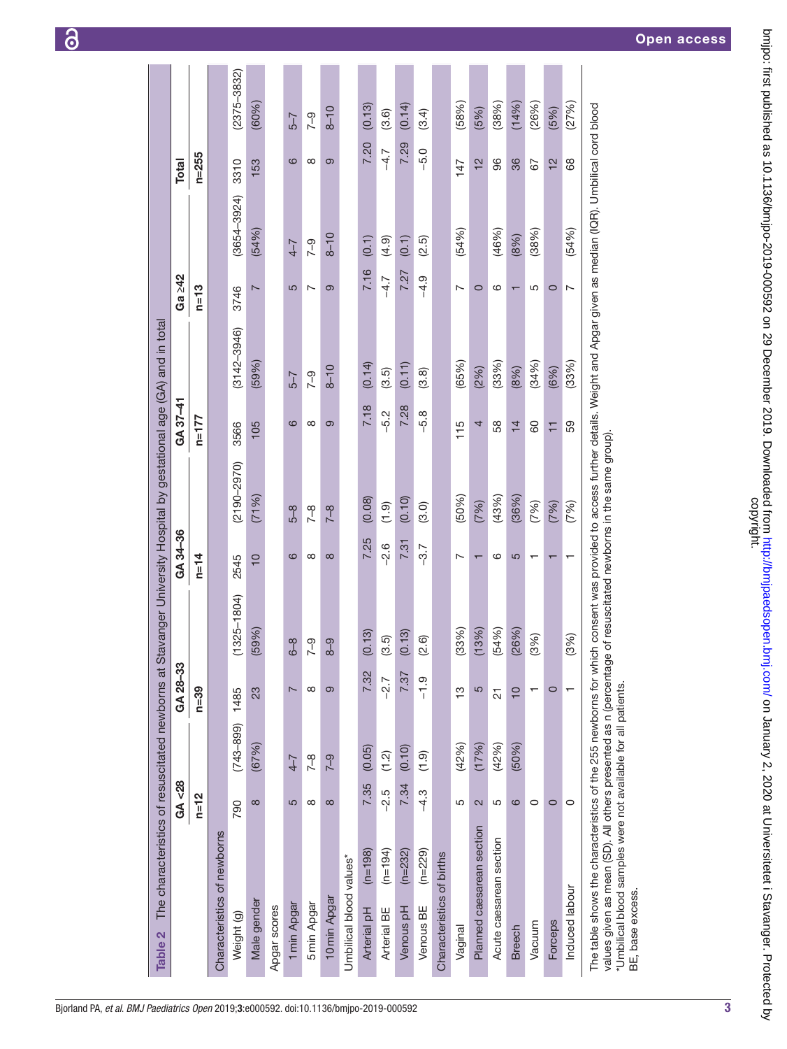| $\frac{1}{2}$ |  |
|---------------|--|
|               |  |
|               |  |

<span id="page-2-0"></span>

|                                                                                                                                                                                                                                                                                                                                         | GA <28   |                                         | GA 28-33                 |                 | GA 34-36                 |                                              | GA 37-41      |                 | Ga ≥42                   |                 | Total         |                 |
|-----------------------------------------------------------------------------------------------------------------------------------------------------------------------------------------------------------------------------------------------------------------------------------------------------------------------------------------|----------|-----------------------------------------|--------------------------|-----------------|--------------------------|----------------------------------------------|---------------|-----------------|--------------------------|-----------------|---------------|-----------------|
|                                                                                                                                                                                                                                                                                                                                         | $n=12$   |                                         | $n = 39$                 |                 | $n=14$                   |                                              | $n=177$       |                 | $n=13$                   |                 | $n = 255$     |                 |
| Characteristics of newborns                                                                                                                                                                                                                                                                                                             |          |                                         |                          |                 |                          |                                              |               |                 |                          |                 |               |                 |
| Weight (g)                                                                                                                                                                                                                                                                                                                              | 790      | $(743 - 899)$                           | 1485                     | $(1325 - 1804)$ | 2545                     | $(2190 - 2970)$                              | 3566          | $(3142 - 3946)$ | 3746                     | $(3654 - 3924)$ | 3310          | $(2375 - 3832)$ |
| Male gender                                                                                                                                                                                                                                                                                                                             | $\infty$ | (67%)                                   | 23                       | 59%)            | $\overline{C}$           | (71%)                                        | 105           | (59%)           | $\overline{ }$           | (54%)           | 153           | (60%)           |
| Apgar scores                                                                                                                                                                                                                                                                                                                            |          |                                         |                          |                 |                          |                                              |               |                 |                          |                 |               |                 |
| 1 min Apgar                                                                                                                                                                                                                                                                                                                             | 5        | $4 - 7$                                 | $\overline{ }$           | $6 - 8$         | ဖ                        | $5-8$                                        | ဖ             | $5 - 7$         | 5                        | $4 - 7$         | ဖ             | $5 - 7$         |
| 5 min Apgar                                                                                                                                                                                                                                                                                                                             | 8        | $^{8-2}$                                | $\infty$                 | $7 - 9$         | 8                        | $7 - 8$                                      | $\infty$      | $7 - 9$         | $\overline{ }$           | $7 - 9$         | $\infty$      | $7 - 9$         |
| 10 min Apgar                                                                                                                                                                                                                                                                                                                            | $\infty$ | $-9$                                    | ၜ                        | $\frac{9}{8}$   | $\infty$                 | $7 - 8$                                      | ၜ             | $8 - 10$        | ၜ                        | $8 - 10$        | ၜ             | $8 - 10$        |
| Umbilical blood values*                                                                                                                                                                                                                                                                                                                 |          |                                         |                          |                 |                          |                                              |               |                 |                          |                 |               |                 |
| $(n=198)$<br>Arterial pH                                                                                                                                                                                                                                                                                                                | 7.35     | (0.05)                                  | 7.32                     | (0.13)          | 7.25                     | (0.08)                                       | 7.18          | (0.14)          | 7.16                     | (0.1)           | 7.20          | (0.13)          |
| $(n=194)$<br>Arterial BE                                                                                                                                                                                                                                                                                                                | $-2.5$   | $\begin{pmatrix} 2 \\ -2 \end{pmatrix}$ | $-2.7$                   | (3.5)           | $-2.6$                   | (1.9)                                        | $-5.2$        | (3.5)           | $-4.7$                   | (4.9)           | $-4.7$        | (3.6)           |
| $(n=232)$<br>Venous pH                                                                                                                                                                                                                                                                                                                  | 7.34     | (0.10)                                  | 7.37                     | (0.13)          | 7.31                     | (0.10)                                       | 7.28          | (0.11)          | 7.27                     | (0.1)           | 7.29          | (0.14)          |
| $(n=229)$<br>Venous BE                                                                                                                                                                                                                                                                                                                  | $-4.3$   | (1.9)                                   | $-1.9$                   | (2.6)           | $-3.7$                   | (3.0)                                        | $-5.8$        | (3.8)           | $-4.9$                   | (2.5)           | $-5.0$        | (3.4)           |
| Characteristics of births                                                                                                                                                                                                                                                                                                               |          |                                         |                          |                 |                          |                                              |               |                 |                          |                 |               |                 |
| Vaginal                                                                                                                                                                                                                                                                                                                                 | 5        | (42%)                                   | ဣ                        | (33%)           | $\overline{\phantom{0}}$ | (50%)                                        | 115           | (65%)           | $\overline{\phantom{0}}$ | (54%)           | 147           | (58%)           |
| Planned caesarean section                                                                                                                                                                                                                                                                                                               | 2        | (17%)                                   | 5                        | (13%)           |                          | (7%)                                         | 4             | (2%)            | $\circ$                  |                 | $\frac{1}{2}$ | (5%)            |
| Acute caesarean section                                                                                                                                                                                                                                                                                                                 | 5        | (42%)                                   | 24                       | (54%)           | ဖ                        | (43%)                                        | 58            | (33%)           | ဖ                        | (46%)           | 86            | (38%)           |
| <b>Breech</b>                                                                                                                                                                                                                                                                                                                           | ဖ        | (50%)                                   | $\overline{C}$           | (26%)           | 5                        | (36%)                                        | $\frac{1}{4}$ | (8%)            | ┳                        | (8%)            | 36            | (14%)           |
| Vacuum                                                                                                                                                                                                                                                                                                                                  | $\circ$  |                                         | $\overline{\phantom{0}}$ | (3%)            | $\overline{\phantom{0}}$ | (7%)                                         | 60            | (34%)           | 5                        | (38%)           | 57            | (26%)           |
| Forceps                                                                                                                                                                                                                                                                                                                                 | $\circ$  |                                         | $\circ$                  |                 |                          | (7%)                                         | Ξ             | (6%)            | $\circ$                  |                 | 으             | (5%)            |
| Induced labour                                                                                                                                                                                                                                                                                                                          | $\circ$  |                                         |                          | (3%)            | $\overline{\phantom{0}}$ | (7%)                                         | 59            | (33%)           | $\sim$                   | (54%)           | 89            | (27%)           |
| The table shows the characteristics of the 255 newborns for which consent was provided to access further details. Weight and Apgar given as median (IQR). Umbilical cord blood<br>values given as mean (SD). All others presented as n (percentage<br>*Umbilical blood samples were not available for all patients.<br>BE, base excess. |          |                                         |                          |                 |                          | of resuscitated newborns in the same group). |               |                 |                          |                 |               |                 |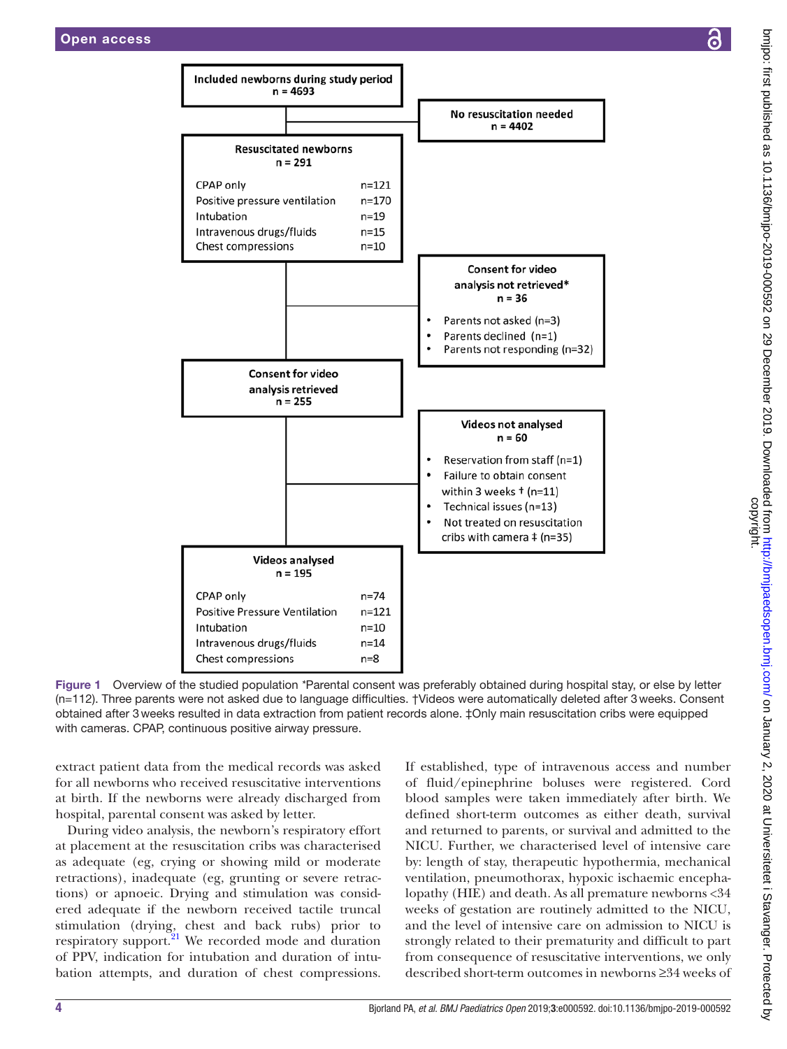

Figure 1 Overview of the studied population *\**Parental consent was preferably obtained during hospital stay, or else by letter (n=112). Three parents were not asked due to language difficulties. †Videos were automatically deleted after 3weeks. Consent obtained after 3weeks resulted in data extraction from patient records alone. ‡Only main resuscitation cribs were equipped with cameras. CPAP, continuous positive airway pressure.

extract patient data from the medical records was asked for all newborns who received resuscitative interventions at birth. If the newborns were already discharged from hospital, parental consent was asked by letter.

During video analysis, the newborn's respiratory effort at placement at the resuscitation cribs was characterised as adequate (eg, crying or showing mild or moderate retractions), inadequate (eg, grunting or severe retractions) or apnoeic. Drying and stimulation was considered adequate if the newborn received tactile truncal stimulation (drying, chest and back rubs) prior to respiratory support.<sup>21</sup> We recorded mode and duration of PPV, indication for intubation and duration of intubation attempts, and duration of chest compressions.

<span id="page-3-0"></span>If established, type of intravenous access and number of fluid/epinephrine boluses were registered. Cord blood samples were taken immediately after birth. We defined short-term outcomes as either death, survival and returned to parents, or survival and admitted to the NICU. Further, we characterised level of intensive care by: length of stay, therapeutic hypothermia, mechanical ventilation, pneumothorax, hypoxic ischaemic encephalopathy (HIE) and death. As all premature newborns <34 weeks of gestation are routinely admitted to the NICU, and the level of intensive care on admission to NICU is strongly related to their prematurity and difficult to part from consequence of resuscitative interventions, we only described short-term outcomes in newborns ≥34 weeks of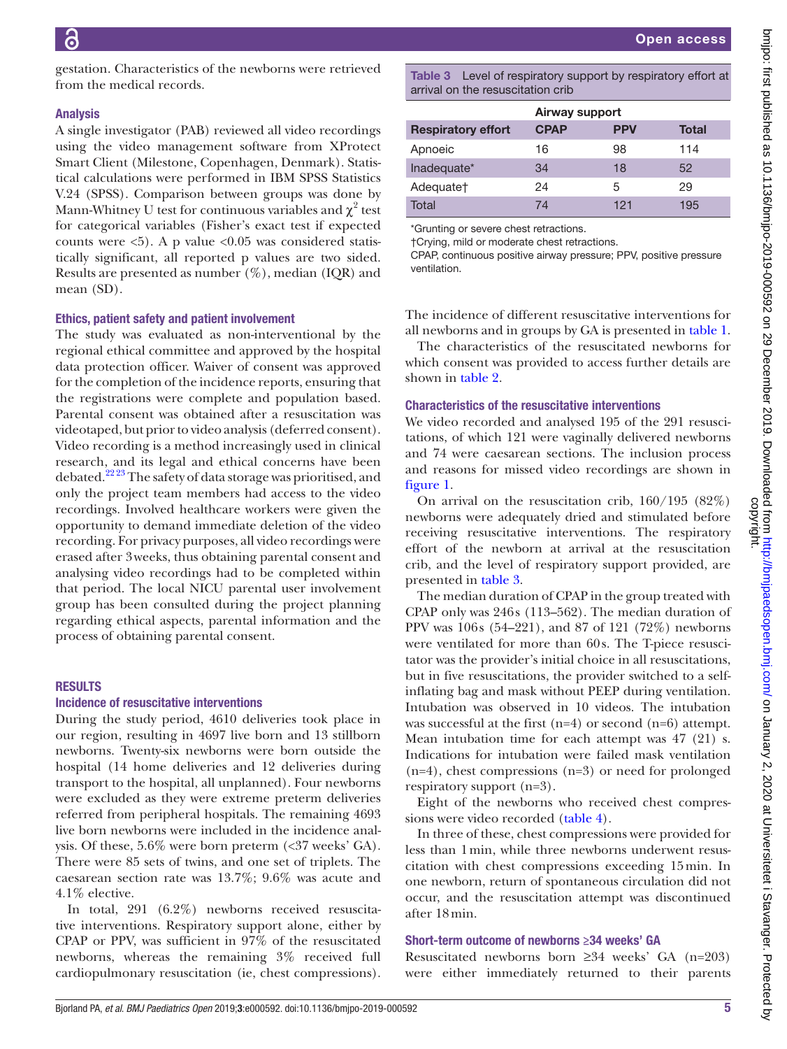gestation. Characteristics of the newborns were retrieved from the medical records.

## Analysis

A single investigator (PAB) reviewed all video recordings using the video management software from XProtect Smart Client (Milestone, Copenhagen, Denmark). Statistical calculations were performed in IBM SPSS Statistics V.24 (SPSS). Comparison between groups was done by Mann-Whitney U test for continuous variables and  $\chi^2$  test for categorical variables (Fisher's exact test if expected counts were  $\langle 5 \rangle$ . A p value  $\langle 0.05 \rangle$  was considered statistically significant, all reported p values are two sided. Results are presented as number  $(\%)$ , median (IQR) and mean (SD).

## Ethics, patient safety and patient involvement

The study was evaluated as non-interventional by the regional ethical committee and approved by the hospital data protection officer. Waiver of consent was approved for the completion of the incidence reports, ensuring that the registrations were complete and population based. Parental consent was obtained after a resuscitation was videotaped, but prior to video analysis (deferred consent). Video recording is a method increasingly used in clinical research, and its legal and ethical concerns have been debated.<sup>2223</sup> The safety of data storage was prioritised, and only the project team members had access to the video recordings. Involved healthcare workers were given the opportunity to demand immediate deletion of the video recording. For privacy purposes, all video recordings were erased after 3weeks, thus obtaining parental consent and analysing video recordings had to be completed within that period. The local NICU parental user involvement group has been consulted during the project planning regarding ethical aspects, parental information and the process of obtaining parental consent.

## **RESULTS**

#### Incidence of resuscitative interventions

During the study period, 4610 deliveries took place in our region, resulting in 4697 live born and 13 stillborn newborns. Twenty-six newborns were born outside the hospital (14 home deliveries and 12 deliveries during transport to the hospital, all unplanned). Four newborns were excluded as they were extreme preterm deliveries referred from peripheral hospitals. The remaining 4693 live born newborns were included in the incidence analysis. Of these, 5.6% were born preterm (<37 weeks' GA). There were 85 sets of twins, and one set of triplets. The caesarean section rate was 13.7%; 9.6% was acute and 4.1% elective.

In total, 291 (6.2%) newborns received resuscitative interventions. Respiratory support alone, either by CPAP or PPV, was sufficient in 97% of the resuscitated newborns, whereas the remaining 3% received full cardiopulmonary resuscitation (ie, chest compressions).

<span id="page-4-0"></span>Table 3 Level of respiratory support by respiratory effort at arrival on the resuscitation crib

|                           | Airway support |            |       |
|---------------------------|----------------|------------|-------|
| <b>Respiratory effort</b> | <b>CPAP</b>    | <b>PPV</b> | Total |
| Apnoeic                   | 16             | 98         | 114   |
| Inadequate*               | 34             | 18         | 52    |
| Adequate†                 | 24             | 5          | 29    |
| Total                     | 74             | 121        | 195   |

\*Grunting or severe chest retractions.

†Crying, mild or moderate chest retractions.

CPAP, continuous positive airway pressure; PPV, positive pressure ventilation.

The incidence of different resuscitative interventions for all newborns and in groups by GA is presented in [table](#page-1-0) 1.

The characteristics of the resuscitated newborns for which consent was provided to access further details are shown in [table](#page-2-0) 2.

#### Characteristics of the resuscitative interventions

We video recorded and analysed 195 of the 291 resuscitations, of which 121 were vaginally delivered newborns and 74 were caesarean sections. The inclusion process and reasons for missed video recordings are shown in [figure](#page-3-0) 1.

On arrival on the resuscitation crib, 160/195 (82%) newborns were adequately dried and stimulated before receiving resuscitative interventions. The respiratory effort of the newborn at arrival at the resuscitation crib, and the level of respiratory support provided, are presented in [table](#page-4-0) 3.

The median duration of CPAP in the group treated with CPAP only was 246s (113–562). The median duration of PPV was 106s (54–221), and 87 of 121 (72%) newborns were ventilated for more than 60s. The T-piece resuscitator was the provider's initial choice in all resuscitations, but in five resuscitations, the provider switched to a selfinflating bag and mask without PEEP during ventilation. Intubation was observed in 10 videos. The intubation was successful at the first (n=4) or second (n=6) attempt. Mean intubation time for each attempt was 47 (21) s. Indications for intubation were failed mask ventilation (n=4), chest compressions (n=3) or need for prolonged respiratory support (n=3).

Eight of the newborns who received chest compressions were video recorded ([table](#page-5-0) 4).

In three of these, chest compressions were provided for less than 1min, while three newborns underwent resuscitation with chest compressions exceeding 15min. In one newborn, return of spontaneous circulation did not occur, and the resuscitation attempt was discontinued after 18min.

#### Short-term outcome of newborns ≥34 weeks' GA

Resuscitated newborns born  $\geq 34$  weeks' GA (n=203) were either immediately returned to their parents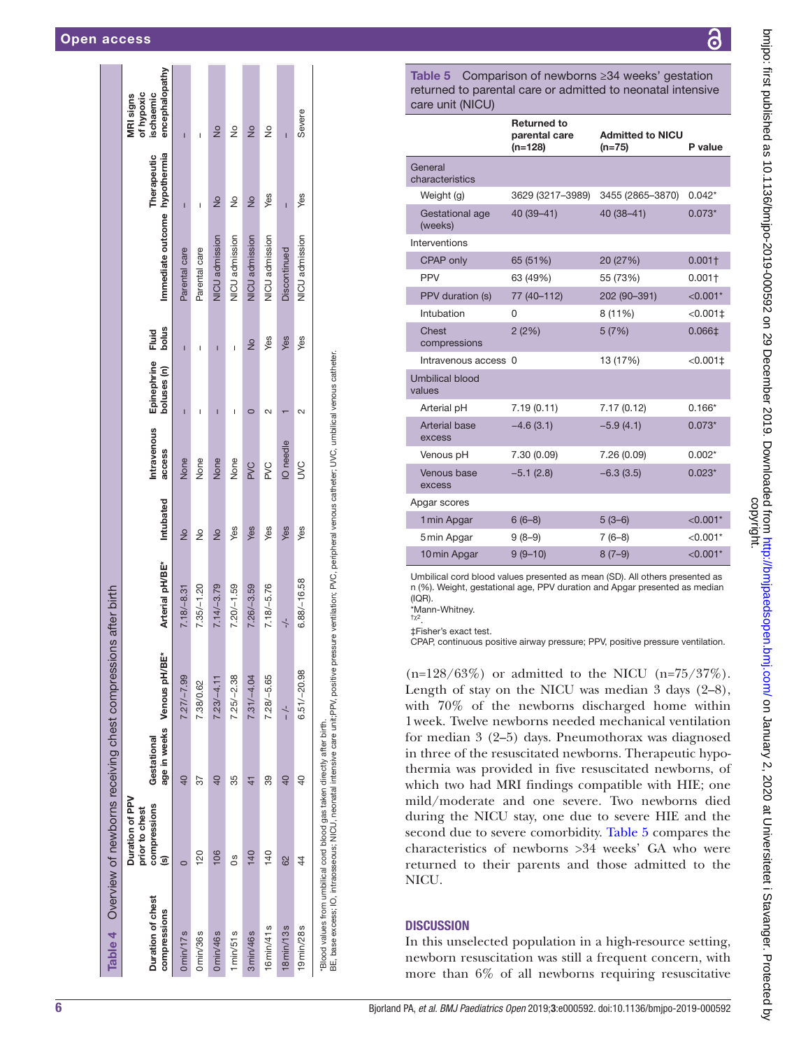| Table 4 Overview of newborns receiving chest compression                                                                                                                                                                                              |                                                                     |                |                            | ons after birth |               |                       |                            |                |                               |               |                                                               |
|-------------------------------------------------------------------------------------------------------------------------------------------------------------------------------------------------------------------------------------------------------|---------------------------------------------------------------------|----------------|----------------------------|-----------------|---------------|-----------------------|----------------------------|----------------|-------------------------------|---------------|---------------------------------------------------------------|
| Duration of chest<br>compressions                                                                                                                                                                                                                     | Duration of PPV<br>compressions<br>prior to chest<br>$\overline{S}$ | Gestational    | age in weeks Venous pH/BE* | Arterial pH/BE* | Intubated     | Intravenous<br>access | Epinephrine<br>boluses (n) | bolus<br>Fluid | Immediate outcome hypothermia | Therapeutic   | encephalopathy<br>of hypoxic<br>ischaemic<br><b>MRI</b> signs |
| Omin/17s                                                                                                                                                                                                                                              |                                                                     | $\overline{a}$ | $7.27/-7.99$               | $7.18/-8.31$    | $\frac{1}{2}$ | None                  |                            |                | Parental care                 | Ī             | Ī                                                             |
| $0$ min/36 $s$                                                                                                                                                                                                                                        | $\frac{1}{2}$                                                       | 57             | 7.38/0.62                  | $7.35/-1.20$    | ş             | None                  | I                          | I              | Parental care                 | I             | I                                                             |
| Omin/46s                                                                                                                                                                                                                                              | 106                                                                 | $\overline{0}$ | $7.23/-4.11$               | $7.14/-3.79$    | $\frac{1}{2}$ | None                  |                            |                | NICU admission                | $\frac{1}{2}$ | $\frac{1}{2}$                                                 |
| 1 min/51 s                                                                                                                                                                                                                                            | SO                                                                  | 35             | $7.25/-2.38$               | $7.20/-1.59$    | Yes           | None                  | I                          | I              | NICU admission                | ş             | $\frac{1}{2}$                                                 |
| 3min/46s                                                                                                                                                                                                                                              | 140                                                                 | ᠼ              | $7.31/-4.04$               | $7.26/-3.59$    | Yes           | <b>PVC</b>            |                            | $\frac{1}{2}$  | NICU admission                | $\frac{1}{2}$ | $\frac{1}{2}$                                                 |
| $16$ min/41 $s$                                                                                                                                                                                                                                       | 140                                                                 | 39             | $7.28/-5.65$               | $7.18/-5.76$    | Yes           | PVC                   |                            | Yes            | NICU admission                | Yes           | $\frac{1}{2}$                                                 |
| $18$ min/ $13s$                                                                                                                                                                                                                                       | 62                                                                  | $\overline{a}$ | $\frac{1}{1}$              |                 | Yes           | IO needle             |                            | Yes            | Discontinued                  |               |                                                               |
| $19$ min/ $28$ s                                                                                                                                                                                                                                      | $\overline{4}$                                                      | $\overline{a}$ | $6.51/-20.98$              | $6.88/-16.58$   | Yes           | UVC                   | $\sim$                     | Yes            | NICU admission                | Yes           | Severe                                                        |
| BE, base excess: IO, intraosseous; NICU, neonatal intensive care unit:PPV, positive pressure ventilation; PVC, peripheral venous catheter; UVC, umbilical venous catheter.<br>"Blood values from umbilical cord blood gas taken directly after birth. |                                                                     |                |                            |                 |               |                       |                            |                |                               |               |                                                               |

<span id="page-5-1"></span>Table 5 Comparison of newborns ≥34 weeks' gestation returned to parental care or admitted to neonatal intensive care unit (NICU)

|                                  | <b>Returned to</b><br>parental care<br>$(n=128)$ | <b>Admitted to NICU</b><br>$(n=75)$ | P value          |
|----------------------------------|--------------------------------------------------|-------------------------------------|------------------|
| General<br>characteristics       |                                                  |                                     |                  |
| Weight (g)                       | 3629 (3217-3989)                                 | 3455 (2865-3870)                    | $0.042*$         |
| Gestational age<br>(weeks)       | 40 (39-41)                                       | 40 (38-41)                          | $0.073*$         |
| Interventions                    |                                                  |                                     |                  |
| <b>CPAP only</b>                 | 65 (51%)                                         | 20 (27%)                            | $0.001+$         |
| <b>PPV</b>                       | 63 (49%)                                         | 55 (73%)                            | $0.001+$         |
| PPV duration (s)                 | 77 (40-112)                                      | 202 (90-391)                        | $< 0.001*$       |
| Intubation                       | 0                                                | 8 (11%)                             | $< 0.001 \pm$    |
| Chest<br>compressions            | 2(2%)                                            | 5(7%)                               | $0.066 \text{+}$ |
| Intravenous access 0             |                                                  | 13 (17%)                            | $< 0.001 \pm$    |
| <b>Umbilical blood</b><br>values |                                                  |                                     |                  |
| Arterial pH                      | 7.19(0.11)                                       | 7.17(0.12)                          | $0.166*$         |
| Arterial base<br>excess          | $-4.6(3.1)$                                      | $-5.9(4.1)$                         | $0.073*$         |
| Venous pH                        | 7.30 (0.09)                                      | 7.26 (0.09)                         | $0.002*$         |
| Venous base<br>excess            | $-5.1(2.8)$                                      | $-6.3(3.5)$                         | $0.023*$         |
| Apgar scores                     |                                                  |                                     |                  |
| 1 min Apgar                      | $6(6-8)$                                         | $5(3-6)$                            | $< 0.001*$       |
| 5 min Apgar                      | $9(8-9)$                                         | $7(6-8)$                            | $< 0.001*$       |
| 10 min Apgar                     | $9(9 - 10)$                                      | $8(7-9)$                            | $< 0.001*$       |

Umbilical cord blood values presented as mean (SD). All others presented as n (%). Weight, gestational age, PPV duration and Apgar presented as median (IQR).

\*Mann-Whitney.

†χ2.

‡Fisher's exact test. CPAP, continuous positive airway pressure; PPV, positive pressure ventilation.

 $(n=128/63\%)$  or admitted to the NICU  $(n=75/37\%).$ Length of stay on the NICU was median 3 days (2–8), with 70% of the newborns discharged home within 1week. Twelve newborns needed mechanical ventilation for median 3 (2–5) days. Pneumothorax was diagnosed in three of the resuscitated newborns. Therapeutic hypo thermia was provided in five resuscitated newborns, of which two had MRI findings compatible with HIE; one mild/moderate and one severe. Two newborns died during the NICU stay, one due to severe HIE and the second due to severe comorbidity. [Table](#page-5-1) 5 compares the characteristics of newborns >34 weeks' GA who were returned to their parents and those admitted to the NICU.

## **DISCUSSION**

<span id="page-5-0"></span>In this unselected population in a high-resource setting, newborn resuscitation was still a frequent concern, with more than 6% of all newborns requiring resuscitative

෬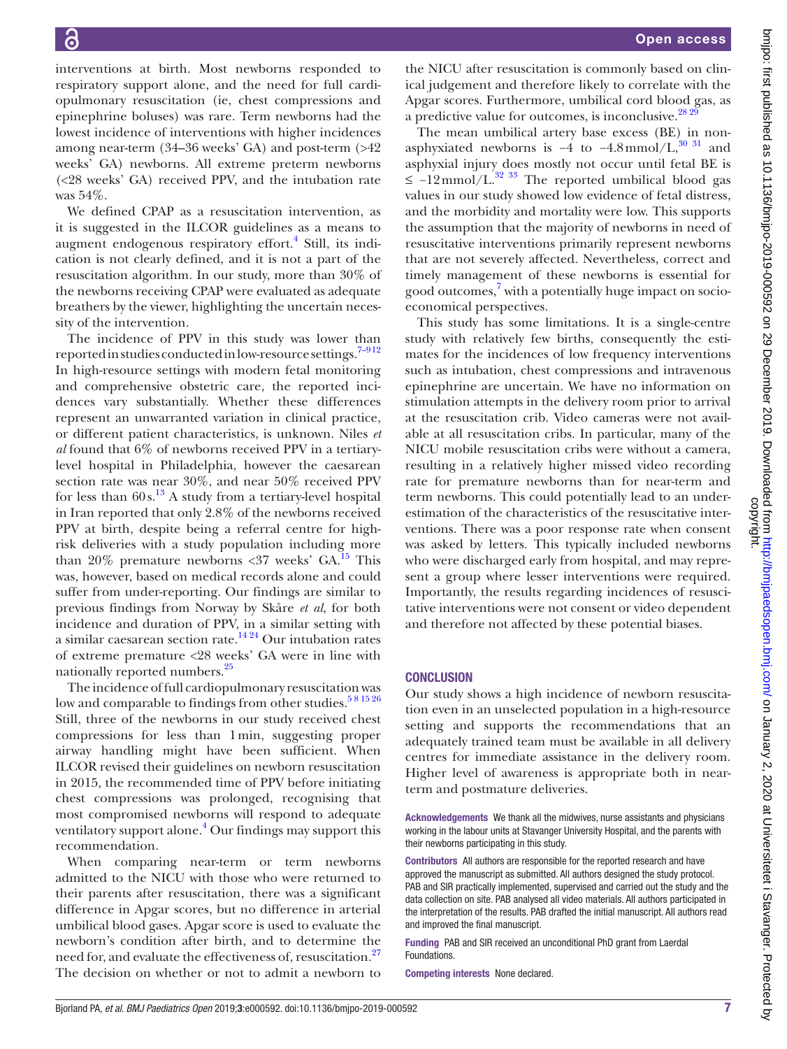interventions at birth. Most newborns responded to respiratory support alone, and the need for full cardiopulmonary resuscitation (ie, chest compressions and epinephrine boluses) was rare. Term newborns had the lowest incidence of interventions with higher incidences among near-term (34–36 weeks' GA) and post-term (>42 weeks' GA) newborns. All extreme preterm newborns (<28 weeks' GA) received PPV, and the intubation rate was 54%.

We defined CPAP as a resuscitation intervention, as it is suggested in the ILCOR guidelines as a means to augment endogenous respiratory effort.<sup>4</sup> Still, its indication is not clearly defined, and it is not a part of the resuscitation algorithm. In our study, more than 30% of the newborns receiving CPAP were evaluated as adequate breathers by the viewer, highlighting the uncertain necessity of the intervention.

The incidence of PPV in this study was lower than reported in studies conducted in low-resource settings.<sup>7-912</sup> In high-resource settings with modern fetal monitoring and comprehensive obstetric care, the reported incidences vary substantially. Whether these differences represent an unwarranted variation in clinical practice, or different patient characteristics, is unknown. Niles *et al* found that 6% of newborns received PPV in a tertiarylevel hospital in Philadelphia, however the caesarean section rate was near 30%, and near 50% received PPV for less than  $60 s^{13}$  A study from a tertiary-level hospital in Iran reported that only 2.8% of the newborns received PPV at birth, despite being a referral centre for highrisk deliveries with a study population including more than 20% premature newborns  $\langle 37 \rangle$  weeks' GA.<sup>15</sup> This was, however, based on medical records alone and could suffer from under-reporting. Our findings are similar to previous findings from Norway by Skåre *et al*, for both incidence and duration of PPV, in a similar setting with a similar caesarean section rate.<sup>1424</sup> Our intubation rates of extreme premature <28 weeks' GA were in line with nationally reported numbers.<sup>[25](#page-7-12)</sup>

The incidence of full cardiopulmonary resuscitation was low and comparable to findings from other studies.<sup>581526</sup> Still, three of the newborns in our study received chest compressions for less than 1min, suggesting proper airway handling might have been sufficient. When ILCOR revised their guidelines on newborn resuscitation in 2015, the recommended time of PPV before initiating chest compressions was prolonged, recognising that most compromised newborns will respond to adequate ventilatory support alone.<sup>4</sup> Our findings may support this recommendation.

When comparing near-term or term newborns admitted to the NICU with those who were returned to their parents after resuscitation, there was a significant difference in Apgar scores, but no difference in arterial umbilical blood gases. Apgar score is used to evaluate the newborn's condition after birth, and to determine the need for, and evaluate the effectiveness of, resuscitation.<sup>27</sup> The decision on whether or not to admit a newborn to

the NICU after resuscitation is commonly based on clinical judgement and therefore likely to correlate with the Apgar scores. Furthermore, umbilical cord blood gas, as a predictive value for outcomes, is inconclusive[.28 29](#page-7-14)

The mean umbilical artery base excess (BE) in nonasphyxiated newborns is  $-4$  to  $-4.8$ mmol/L,<sup>[30 31](#page-7-15)</sup> and asphyxial injury does mostly not occur until fetal BE is  $≤$  -12mmol/L.<sup>32</sup> <sup>33</sup> The reported umbilical blood gas values in our study showed low evidence of fetal distress, and the morbidity and mortality were low. This supports the assumption that the majority of newborns in need of resuscitative interventions primarily represent newborns that are not severely affected. Nevertheless, correct and timely management of these newborns is essential for good outcomes,<sup>[7](#page-7-9)</sup> with a potentially huge impact on socioeconomical perspectives.

This study has some limitations. It is a single-centre study with relatively few births, consequently the estimates for the incidences of low frequency interventions such as intubation, chest compressions and intravenous epinephrine are uncertain. We have no information on stimulation attempts in the delivery room prior to arrival at the resuscitation crib. Video cameras were not available at all resuscitation cribs. In particular, many of the NICU mobile resuscitation cribs were without a camera, resulting in a relatively higher missed video recording rate for premature newborns than for near-term and term newborns. This could potentially lead to an underestimation of the characteristics of the resuscitative interventions. There was a poor response rate when consent was asked by letters. This typically included newborns who were discharged early from hospital, and may represent a group where lesser interventions were required. Importantly, the results regarding incidences of resuscitative interventions were not consent or video dependent and therefore not affected by these potential biases.

## **CONCLUSION**

Our study shows a high incidence of newborn resuscitation even in an unselected population in a high-resource setting and supports the recommendations that an adequately trained team must be available in all delivery centres for immediate assistance in the delivery room. Higher level of awareness is appropriate both in nearterm and postmature deliveries.

Acknowledgements We thank all the midwives, nurse assistants and physicians working in the labour units at Stavanger University Hospital, and the parents with their newborns participating in this study.

Contributors All authors are responsible for the reported research and have approved the manuscript as submitted. All authors designed the study protocol. PAB and SIR practically implemented, supervised and carried out the study and the data collection on site. PAB analysed all video materials. All authors participated in the interpretation of the results. PAB drafted the initial manuscript. All authors read and improved the final manuscript.

Funding PAB and SIR received an unconditional PhD grant from Laerdal Foundations.

Competing interests None declared.